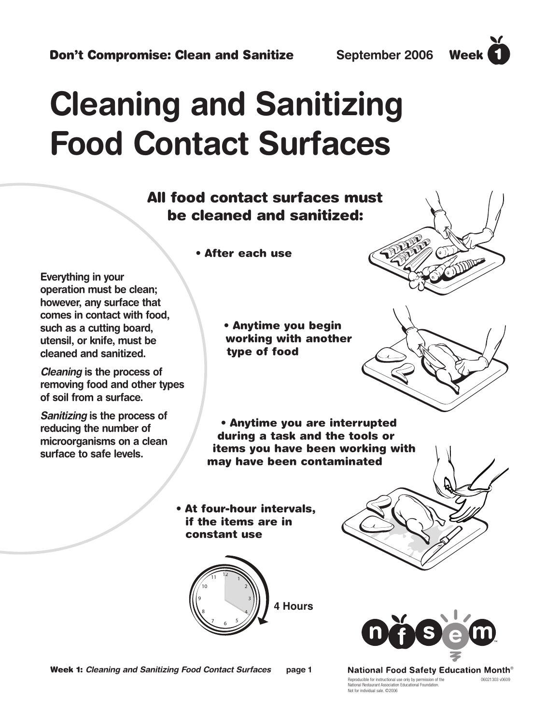# **Cleaning and Sanitizing Food Contact Surfaces Don't Compromise: Clean and Sanitize** September 2006 Week<br> **Cleaning and Sanitizing**<br>
Food Contact Surfaces must<br>
be cleaned and sanitized:<br>
All food contact surfaces must<br>
be cleaned and sanitized:<br>
<br>
werking with a sact

#### **All food contact surfaces must be cleaned and sanitized:**

**• After each use**

**Everything in your operation must be clean; however, any surface that comes in contact with food, such as a cutting board, utensil, or knife, must be cleaned and sanitized.** 

**Cleaning is the process of removing food and other types of soil from a surface.**

**Sanitizing is the process of reducing the number of microorganisms on a clean surface to safe levels.**

**• Anytime you begin working with another type of food**

**• Anytime you are interrupted during a task and the tools or items you have been working with may have been contaminated**

**• At four-hour intervals, if the items are in constant use**





Reproducible for instructional use only by permission of the 06021303 v0609 National Restaurant Association Educational Foundation. Not for individual sale. ©2006 **National Food Safety Education Month<sup>®</sup>** 





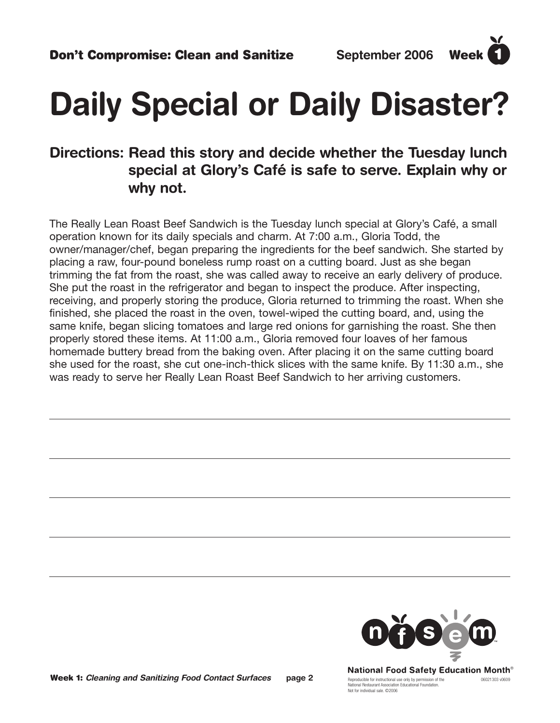## **Daily Special or Daily Disaster?**

#### **Directions: Read this story and decide whether the Tuesday lunch special at Glory's Café is safe to serve. Explain why or why not.**

The Really Lean Roast Beef Sandwich is the Tuesday lunch special at Glory's Café, a small operation known for its daily specials and charm. At 7:00 a.m., Gloria Todd, the owner/manager/chef, began preparing the ingredients for the beef sandwich. She started by placing a raw, four-pound boneless rump roast on a cutting board. Just as she began trimming the fat from the roast, she was called away to receive an early delivery of produce. She put the roast in the refrigerator and began to inspect the produce. After inspecting, receiving, and properly storing the produce, Gloria returned to trimming the roast. When she finished, she placed the roast in the oven, towel-wiped the cutting board, and, using the same knife, began slicing tomatoes and large red onions for garnishing the roast. She then properly stored these items. At 11:00 a.m., Gloria removed four loaves of her famous homemade buttery bread from the baking oven. After placing it on the same cutting board she used for the roast, she cut one-inch-thick slices with the same knife. By 11:30 a.m., she was ready to serve her Really Lean Roast Beef Sandwich to her arriving customers.



Reproducible for instructional use only by permission of the 06021303 v0609 National Restaurant Association Educational Foundation. Not for individual sale. ©2006 **National Food Safety Education Month<sup>®</sup>**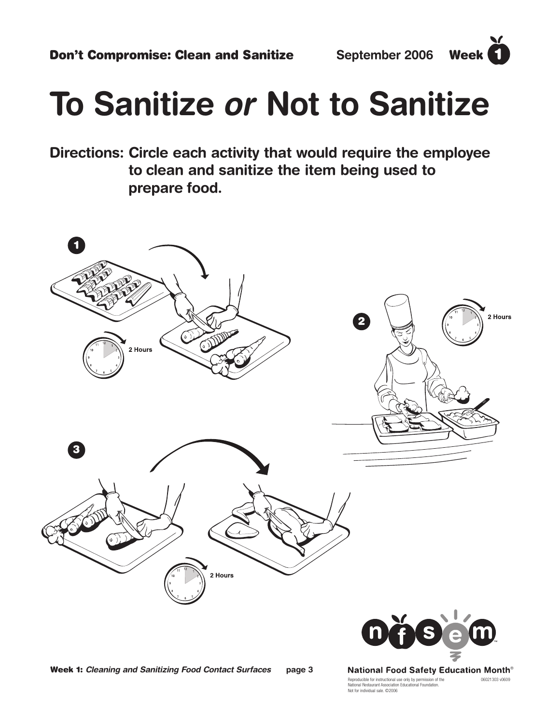# **To Sanitize or Not to Sanitize**

**Directions: Circle each activity that would require the employee to clean and sanitize the item being used to prepare food.** 



**Week 1: Cleaning and Sanitizing Food Contact Surfaces page 3**

Reproducible for instructional use only by permission of the 06021303 v0609 National Restaurant Association Educational Foundation. Not for individual sale. ©2006 **National Food Safety Education Month<sup>®</sup>**